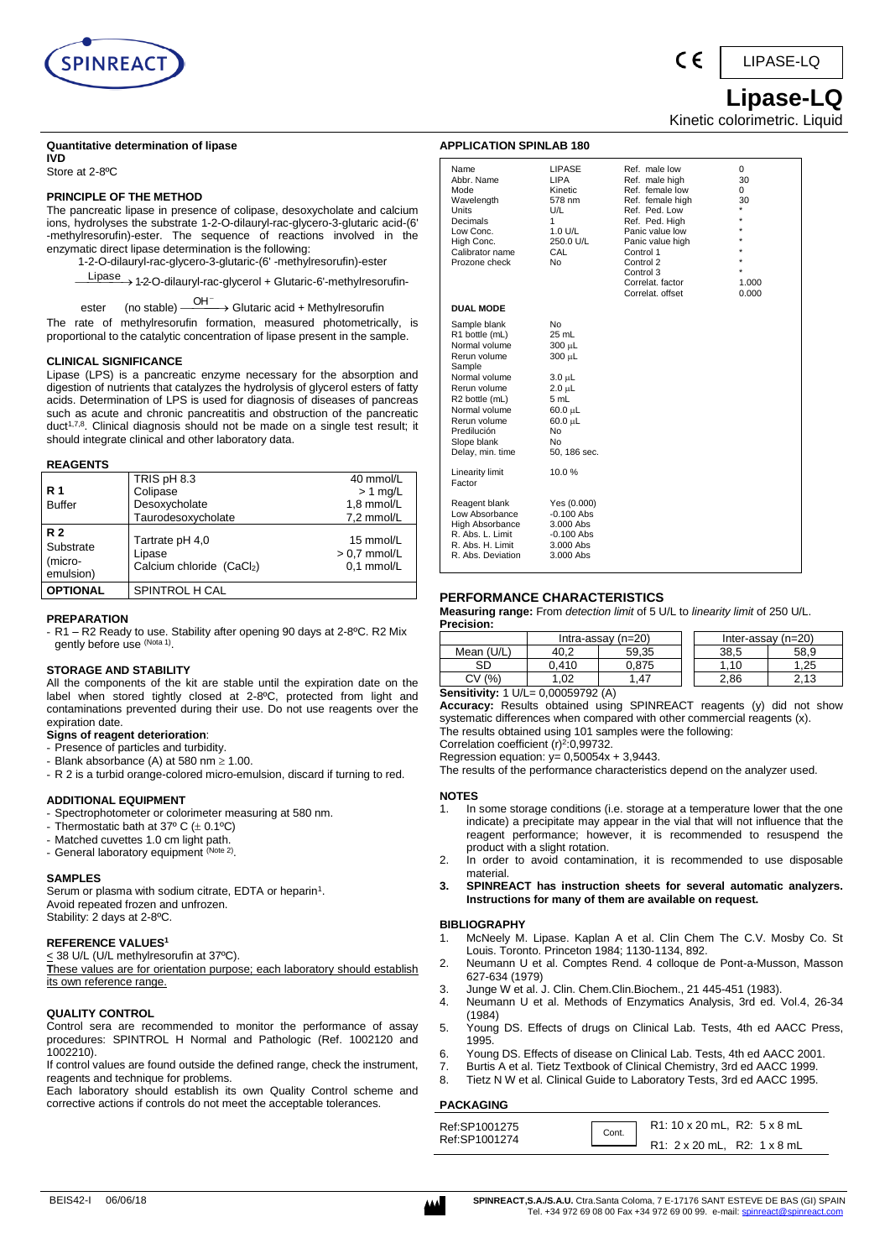

#### **Quantitative determination of lipase**

**IVD** Store at 2-8ºC

#### **PRINCIPLE OF THE METHOD**

The pancreatic lipase in presence of colipase, desoxycholate and calcium ions, hydrolyses the substrate 1-2-O-dilauryl-rac-glycero-3-glutaric acid-(6' -methylresorufin)-ester. The sequence of reactions involved in the enzymatic direct lipase determination is the following:

1-2-O-dilauryl-rac-glycero-3-glutaric-(6' -methylresorufin)-ester

Lipase 
<br>
1-2-O-dilauryl-rac-glycerol + Glutaric-6'-methylresorufin-

ester (no stable) - $OH^ \rightarrow$  Glutaric acid + Methylresorufin

The rate of methylresorufin formation, measured photometrically, is proportional to the catalytic concentration of lipase present in the sample.

#### **CLINICAL SIGNIFICANCE**

Lipase (LPS) is a pancreatic enzyme necessary for the absorption and digestion of nutrients that catalyzes the hydrolysis of glycerol esters of fatty acids. Determination of LPS is used for diagnosis of diseases of pancreas such as acute and chronic pancreatitis and obstruction of the pancreatic duct<sup>1,7,8</sup>. Clinical diagnosis should not be made on a single test result; it should integrate clinical and other laboratory data.

#### **REAGENTS**

|                                                | TRIS pH 8.3                                           | 40 mmol/L                                 |
|------------------------------------------------|-------------------------------------------------------|-------------------------------------------|
| <b>R</b> 1                                     | Colipase                                              | $> 1$ mg/L                                |
| <b>Buffer</b>                                  | Desoxycholate                                         | 1,8 mmol/L                                |
|                                                | Taurodesoxycholate                                    | 7,2 mmol/L                                |
| <b>R2</b><br>Substrate<br>(micro-<br>emulsion) | Tartrate pH 4,0<br>Lipase<br>Calcium chloride (CaCl2) | 15 mmol/L<br>$> 0.7$ mmol/L<br>0.1 mmol/L |
| <b>OPTIONAL</b>                                | SPINTROL H CAL                                        |                                           |

#### **PREPARATION**

- R1 – R2 Ready to use. Stability after opening 90 days at 2-8ºC. R2 Mix gently before use (Nota 1).

#### **STORAGE AND STABILITY**

All the components of the kit are stable until the expiration date on the label when stored tightly closed at 2-8ºC, protected from light and contaminations prevented during their use. Do not use reagents over the expiration date.

## **Signs of reagent deterioration**:

- Presence of particles and turbidity.
- Blank absorbance (A) at 580 nm  $\geq 1.00$ .
- R 2 is a turbid orange-colored micro-emulsion, discard if turning to red.

#### **ADDITIONAL EQUIPMENT**

- Spectrophotometer or colorimeter measuring at 580 nm.
- Thermostatic bath at  $37^{\circ}$  C ( $\pm$  0.1°C)
- Matched cuvettes 1.0 cm light path.
- General laboratory equipment (Note 2).

#### **SAMPLES**

Serum or plasma with sodium citrate, EDTA or heparin<sup>1</sup>. Avoid repeated frozen and unfrozen. Stability: 2 days at 2-8ºC.

## **REFERENCE VALUES<sup>1</sup>**

#### < 38 U/L (U/L methylresorufin at 37ºC).

**T**hese values are for orientation purpose; each laboratory should establish its own reference range.

#### **QUALITY CONTROL**

Control sera are recommended to monitor the performance of assay procedures: SPINTROL H Normal and Pathologic (Ref. 1002120 and 1002210).

If control values are found outside the defined range, check the instrument, reagents and technique for problems.

Each laboratory should establish its own Quality Control scheme and corrective actions if controls do not meet the acceptable tolerances.

| Name<br>Abbr. Name<br>Mode<br>Wavelength<br>Units<br>Decimals<br>Low Conc.<br>High Conc.<br>Calibrator name<br>Prozone check                                                                                    | <b>LIPASE</b><br>LIPA<br>Kinetic<br>578 nm<br>U/L<br>1<br>1.0 U/L<br>250.0 U/L<br>CAL<br>No                                              | Ref. male low<br>Ref. male high<br>Ref. female low<br>Ref. female high<br>Ref. Ped. Low<br>Ref. Ped. High<br>Panic value low<br>Panic value high<br>Control 1<br>Control 2<br>Control 3<br>Correlat, factor<br>Correlat. offset | 0<br>30<br>0<br>30<br>$\star$<br>$\star$<br>$\star$<br>$\star$<br>$\star$<br>$\star$<br>1.000<br>0.000 |
|-----------------------------------------------------------------------------------------------------------------------------------------------------------------------------------------------------------------|------------------------------------------------------------------------------------------------------------------------------------------|---------------------------------------------------------------------------------------------------------------------------------------------------------------------------------------------------------------------------------|--------------------------------------------------------------------------------------------------------|
| <b>DUAL MODE</b>                                                                                                                                                                                                |                                                                                                                                          |                                                                                                                                                                                                                                 |                                                                                                        |
| Sample blank<br>R1 bottle (mL)<br>Normal volume<br>Rerun volume<br>Sample<br>Normal volume<br>Rerun volume<br>R2 bottle (mL)<br>Normal volume<br>Rerun volume<br>Predilución<br>Slope blank<br>Delay, min. time | No<br>25 mL<br>300 µL<br>300 µL<br>$3.0 \mu L$<br>$2.0 \mu L$<br>5 mL<br>$60.0 \mu L$<br>$60.0 \mu L$<br>No<br><b>No</b><br>50, 186 sec. |                                                                                                                                                                                                                                 |                                                                                                        |
| Linearity limit<br>Factor                                                                                                                                                                                       | 10.0%                                                                                                                                    |                                                                                                                                                                                                                                 |                                                                                                        |
| Reagent blank<br>Low Absorbance<br><b>High Absorbance</b><br>R. Abs. L. Limit<br>R. Abs. H. Limit<br>R. Abs. Deviation                                                                                          | Yes (0.000)<br>$-0.100$ Abs<br>3.000 Abs<br>$-0.100$ Abs<br>3.000 Abs<br>3.000 Abs                                                       |                                                                                                                                                                                                                                 |                                                                                                        |

#### **PERFORMANCE CHARACTERISTICS**

**Measuring range:** From *detection limit* of 5 U/L to *linearity limit* of 250 U/L. **Precision:**

|               | Intra-assay $(n=20)$ |       | Inter-assay (n=20) |      |
|---------------|----------------------|-------|--------------------|------|
| Mean          |                      | 59,35 | 38,5               | 58.9 |
| SС            | .410                 | J.875 |                    | .25  |
| $\frac{1}{2}$ | .02                  | .47   | 2.86               | 12   |

**Sensitivity:** 1 U/L= 0,00059792 (A)

**APPLICATION SPINLAB 180**

**Accuracy:** Results obtained using SPINREACT reagents (y) did not show systematic differences when compared with other commercial reagents (x). The results obtained using 101 samples were the following:

Correlation coefficient  $(r)^2$ :0,99732.

Regression equation:  $y= 0,50054x + 3,9443$ .

The results of the performance characteristics depend on the analyzer used.

#### **NOTES**

- In some storage conditions (i.e. storage at a temperature lower that the one indicate) a precipitate may appear in the vial that will not influence that the reagent performance; however, it is recommended to resuspend the product with a slight rotation.
- 2. In order to avoid contamination, it is recommended to use disposable material.
- **3. SPINREACT has instruction sheets for several automatic analyzers. Instructions for many of them are available on request.**

#### **BIBLIOGRAPHY**

- 1. McNeely M. Lipase. Kaplan A et al. Clin Chem The C.V. Mosby Co. St Louis. Toronto. Princeton 1984; 1130-1134, 892.
- 2. Neumann U et al. Comptes Rend. 4 colloque de Pont-a-Musson, Masson 627-634 (1979)
- 3. Junge W et al. J. Clin. Chem.Clin.Biochem., 21 445-451 (1983).
- 4. Neumann U et al. Methods of Enzymatics Analysis, 3rd ed. Vol.4, 26-34 (1984)
- 5. Young DS. Effects of drugs on Clinical Lab. Tests, 4th ed AACC Press, 1995.
- 6. Young DS. Effects of disease on Clinical Lab. Tests, 4th ed AACC 2001.
- 7. Burtis A et al. Tietz Textbook of Clinical Chemistry, 3rd ed AACC 1999.
- 8. Tietz N W et al. Clinical Guide to Laboratory Tests, 3rd ed AACC 1995.

#### **PACKAGING**

| Ref:SP1001275 | Cont. | R1: 10 x 20 mL, R2: 5 x 8 mL |  |
|---------------|-------|------------------------------|--|
| Ref:SP1001274 |       | R1: 2 x 20 mL, R2: 1 x 8 mL  |  |



## **Lipase-LQ** Kinetic colorimetric. Liquid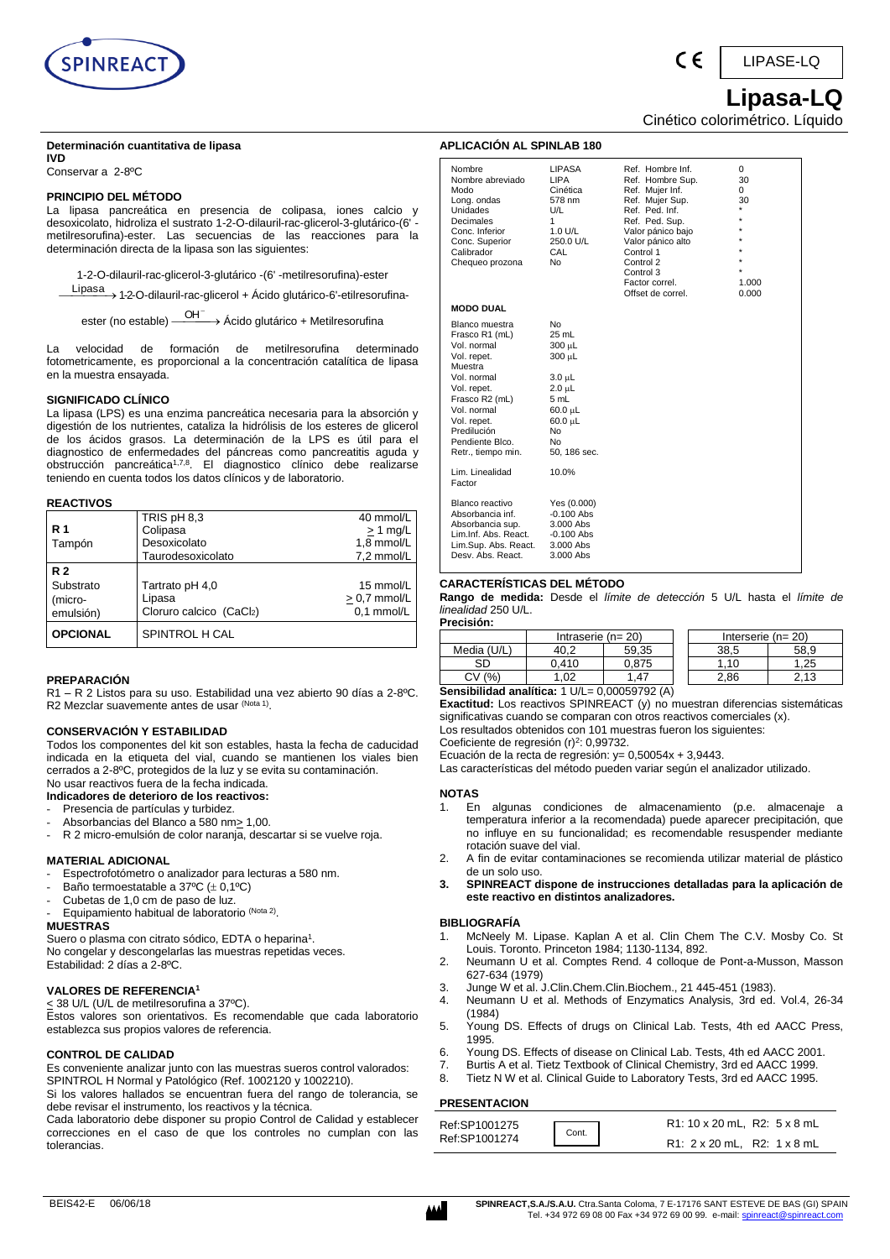

 $\epsilon$ 

LIPASE-LQ

 **Lipasa-LQ** Cinético colorimétrico. Líquido

## **Determinación cuantitativa de lipasa**

**IVD** Conservar a 2-8ºC

## **PRINCIPIO DEL MÉTODO**

La lipasa pancreática en presencia de colipasa, iones calcio y desoxicolato, hidroliza el sustrato 1-2-O-dilauril-rac-glicerol-3-glutárico-(6' metilresorufina)-ester. Las secuencias de las reacciones para la determinación directa de la lipasa son las siguientes:

1-2-O-dilauril-rac-glicerol-3-glutárico -(6' -metilresorufina)-ester

Lipasa 1-2-O-dilauril-rac-glicerol + Ácido glutárico-6'-etilresorufina-

ester (no estable) —<sup>OH⊤</sup>→ Ácido glutárico + Metilresorufina

La velocidad de formación de metilresorufina determinado fotometricamente, es proporcional a la concentración catalítica de lipasa en la muestra ensayada.

## **SIGNIFICADO CLÍNICO**

La lipasa (LPS) es una enzima pancreática necesaria para la absorción y digestión de los nutrientes, cataliza la hidrólisis de los esteres de glicerol de los ácidos grasos. La determinación de la LPS es útil para el diagnostico de enfermedades del páncreas como pancreatitis aguda y obstrucción pancreática<sup>1,7,8</sup>. El diagnostico clínico debe realizarse teniendo en cuenta todos los datos clínicos y de laboratorio.

## **REACTIVOS**

|            | TRIS pH 8,3             | 40 mmol/L      |
|------------|-------------------------|----------------|
| <b>R</b> 1 | Colipasa                | $> 1$ mg/L     |
| Tampón     | Desoxicolato            | 1.8 mmol/L     |
|            | Taurodesoxicolato       | 7,2 mmol/L     |
| <b>R2</b>  |                         |                |
| Substrato  | Tartrato pH 4,0         | 15 mmol/L      |
| (micro-    | Lipasa                  | $> 0.7$ mmol/L |
|            |                         |                |
| emulsión)  | Cloruro calcico (CaCl2) | 0.1 mmol/L     |

## **PREPARACIÓN**

R1 – R 2 Listos para su uso. Estabilidad una vez abierto 90 días a 2-8ºC. R2 Mezclar suavemente antes de usar <sup>(Nota 1)</sup>.

## **CONSERVACIÓN Y ESTABILIDAD**

Todos los componentes del kit son estables, hasta la fecha de caducidad indicada en la etiqueta del vial, cuando se mantienen los viales bien cerrados a 2-8ºC, protegidos de la luz y se evita su contaminación. No usar reactivos fuera de la fecha indicada.

**Indicadores de deterioro de los reactivos:**

- Presencia de partículas y turbidez.
- Absorbancias del Blanco a 580 nm> 1,00. R 2 micro-emulsión de color naranja, descartar si se vuelve roja.

#### **MATERIAL ADICIONAL**

- Espectrofotómetro o analizador para lecturas a 580 nm.
- Baño termoestatable a 37°C  $(\pm 0,1$ °C)
- Cubetas de 1,0 cm de paso de luz.
- Equipamiento habitual de laboratorio (Nota 2).

#### **MUESTRAS**

Suero o plasma con citrato sódico, EDTA o heparina<sup>1</sup>. No congelar y descongelarlas las muestras repetidas veces. Estabilidad: 2 días a 2-8ºC.

## **VALORES DE REFERENCIA<sup>1</sup>**

 $\leq$  38 U/L (U/L de metilresorufina a 37°C).

Estos valores son orientativos. Es recomendable que cada laboratorio establezca sus propios valores de referencia.

#### **CONTROL DE CALIDAD**

Es conveniente analizar junto con las muestras sueros control valorados: SPINTROL H Normal y Patológico (Ref. 1002120 y 1002210).

Si los valores hallados se encuentran fuera del rango de tolerancia, se debe revisar el instrumento, los reactivos y la técnica.

Cada laboratorio debe disponer su propio Control de Calidad y establecer correcciones en el caso de que los controles no cumplan con las tolerancias.

| Nombre<br>Nombre abreviado<br>Modo<br>Long. ondas<br>Unidades<br>Decimales<br>Conc. Inferior<br>Conc. Superior<br>Calibrador<br>Chequeo prozona                                                                 | <b>LIPASA</b><br><b>LIPA</b><br>Cinética<br>578 nm<br>U/L<br>1<br>1.0 U/L<br>250.0 U/L<br>CAL<br>No                                    | Ref. Hombre Inf.<br>Ref. Hombre Sup.<br>Ref. Mujer Inf.<br>Ref. Mujer Sup.<br>Ref. Ped. Inf.<br>Ref. Ped. Sup.<br>Valor pánico bajo<br>Valor pánico alto<br>Control 1<br>Control 2<br>Control 3<br>Factor correl.<br>Offset de correl. | $\Omega$<br>30<br>0<br>30<br>$\star$<br>÷<br>٠<br>÷<br>1.000<br>0.000 |
|-----------------------------------------------------------------------------------------------------------------------------------------------------------------------------------------------------------------|----------------------------------------------------------------------------------------------------------------------------------------|----------------------------------------------------------------------------------------------------------------------------------------------------------------------------------------------------------------------------------------|-----------------------------------------------------------------------|
| <b>MODO DUAL</b>                                                                                                                                                                                                |                                                                                                                                        |                                                                                                                                                                                                                                        |                                                                       |
| Blanco muestra<br>Frasco R1 (mL)<br>Vol. normal<br>Vol. repet.<br>Muestra<br>Vol. normal<br>Vol. repet.<br>Frasco R2 (mL)<br>Vol. normal<br>Vol. repet.<br>Predilución<br>Pendiente Blco.<br>Retr., tiempo min. | <b>No</b><br>25 mL<br>300 µL<br>300 µL<br>3.0 µL<br>2.0 µL<br>5 mL<br>$60.0 \mu L$<br>$60.0 \mu L$<br><b>No</b><br>No.<br>50, 186 sec. |                                                                                                                                                                                                                                        |                                                                       |
| Lim. Linealidad<br>Factor                                                                                                                                                                                       | 10.0%                                                                                                                                  |                                                                                                                                                                                                                                        |                                                                       |
| Blanco reactivo<br>Absorbancia inf.<br>Absorbancia sup.<br>Lim.Inf. Abs. React.<br>Lim.Sup. Abs. React.<br>Desy, Abs. React.                                                                                    | Yes (0.000)<br>$-0.100$ Abs<br>3.000 Abs<br>$-0.100$ Abs<br>$3.000$ Abs<br>3.000 Abs                                                   |                                                                                                                                                                                                                                        |                                                                       |

#### **CARACTERÍSTICAS DEL MÉTODO**

**APLICACIÓN AL SPINLAB 180**

**Rango de medida:** Desde el *límite de detección* 5 U/L hasta el *límite de linealidad* 250 U/L. **Precisión:**

| г гестэгчт. |                         |               |                         |      |
|-------------|-------------------------|---------------|-------------------------|------|
|             | Intraserie ( $n = 20$ ) |               | Interserie ( $n = 20$ ) |      |
| Media (U/L) |                         | 59.35         | 38.5                    | 58.9 |
| SD          | 0.410                   | 0.875         | .10                     | .25  |
| (%<br>СV    | .02                     | . 47          | 2.86                    | .13  |
|             |                         | 0.00000000000 |                         |      |

**Sensibilidad analítica:** 1 U/L= 0,00059792 (A)

**Exactitud:** Los reactivos SPINREACT (y) no muestran diferencias sistemáticas significativas cuando se comparan con otros reactivos comerciales (x). Los resultados obtenidos con 101 muestras fueron los siguientes:

Coeficiente de regresión (r)<sup>2</sup>: 0,99732.

Ecuación de la recta de regresión: y= 0,50054x + 3,9443.

Las características del método pueden variar según el analizador utilizado.

## **NOTAS**

- 1. En algunas condiciones de almacenamiento (p.e. almacenaje a temperatura inferior a la recomendada) puede aparecer precipitación, que no influye en su funcionalidad; es recomendable resuspender mediante rotación suave del vial.
- 2. A fin de evitar contaminaciones se recomienda utilizar material de plástico de un solo uso.
- **3. SPINREACT dispone de instrucciones detalladas para la aplicación de este reactivo en distintos analizadores.**

#### **BIBLIOGRAFÍA**

- 1. McNeely M. Lipase. Kaplan A et al. Clin Chem The C.V. Mosby Co. St Louis. Toronto. Princeton 1984; 1130-1134, 892.
- 2. Neumann U et al. Comptes Rend. 4 colloque de Pont-a-Musson, Masson 627-634 (1979)
- 3. Junge W et al. J.Clin.Chem.Clin.Biochem., 21 445-451 (1983).
- 4. Neumann U et al. Methods of Enzymatics Analysis, 3rd ed. Vol.4, 26-34 (1984)
- 5. Young DS. Effects of drugs on Clinical Lab. Tests, 4th ed AACC Press, 1995.
- 6. Young DS. Effects of disease on Clinical Lab. Tests, 4th ed AACC 2001.
- 7. Burtis A et al. Tietz Textbook of Clinical Chemistry, 3rd ed AACC 1999.
- 8. Tietz N W et al. Clinical Guide to Laboratory Tests, 3rd ed AACC 1995.

## **PRESENTACION**

| Ref:SP1001275 | Cont. | R1: 10 x 20 mL, R2: 5 x 8 mL |
|---------------|-------|------------------------------|
| Ref:SP1001274 |       | R1: 2 x 20 mL, R2: 1 x 8 mL  |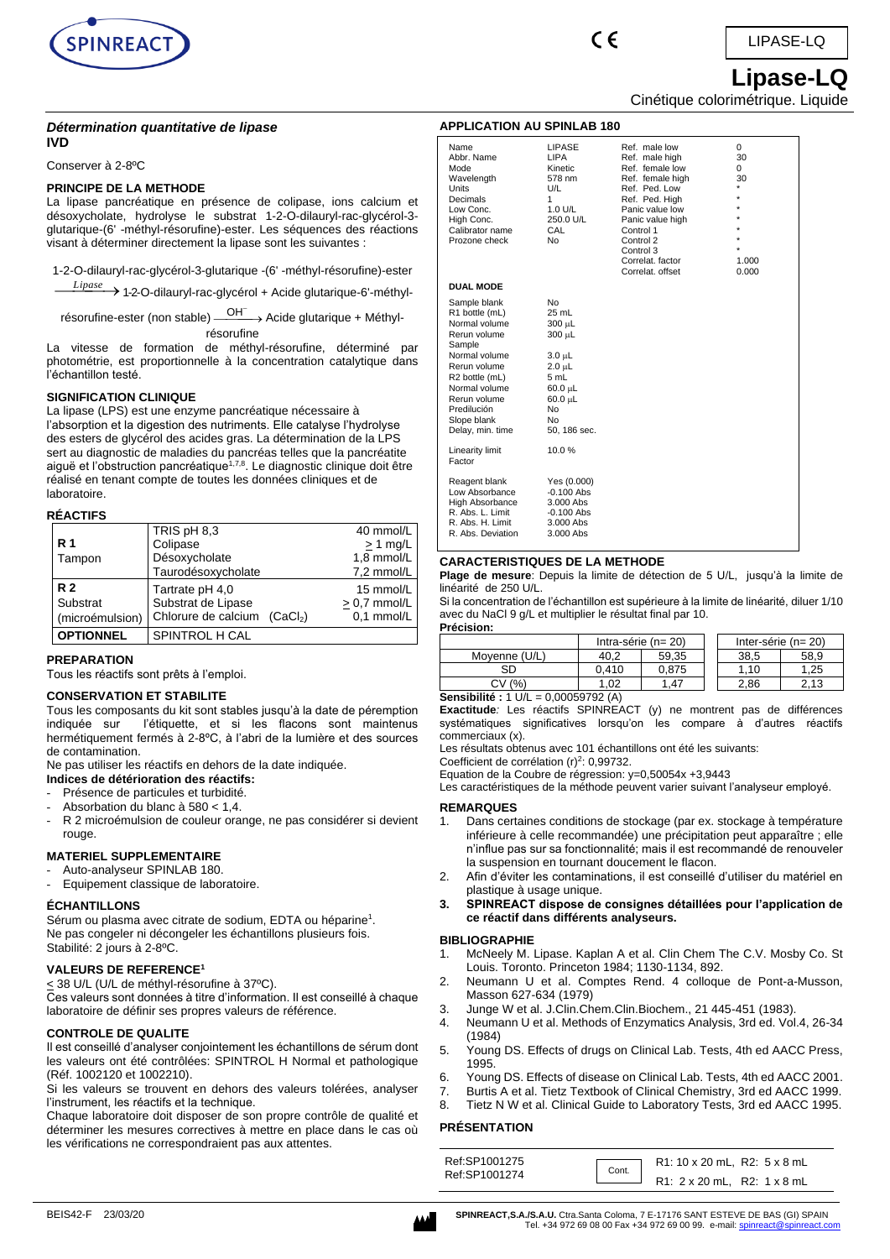

#### *Détermination quantitative de lipase* **IVD**

Conserver à 2-8ºC

## **PRINCIPE DE LA METHODE**

La lipase pancréatique en présence de colipase, ions calcium et désoxycholate, hydrolyse le substrat 1-2-O-dilauryl-rac-glycérol-3 glutarique-(6' -méthyl-résorufine)-ester. Les séquences des réactions visant à déterminer directement la lipase sont les suivantes :

1-2-O-dilauryl-rac-glycérol-3-glutarique -(6' -méthyl-résorufine)-ester

⎯*Lipase* ⎯⎯→ 1-2-O-dilauryl-rac-glycérol + Acide glutarique-6'-méthyl-

résorufine-ester (non stable) — <sup>OH⊤</sup>→ Acide glutarique + Méthylrésorufine

La vitesse de formation de méthyl-résorufine, déterminé par photométrie, est proportionnelle à la concentration catalytique dans l'échantillon testé.

## **SIGNIFICATION CLINIQUE**

La lipase (LPS) est une enzyme pancréatique nécessaire à l'absorption et la digestion des nutriments. Elle catalyse l'hydrolyse des esters de glycérol des acides gras. La détermination de la LPS sert au diagnostic de maladies du pancréas telles que la pancréatite aiguë et l'obstruction pancréatique<sup>1,7,8</sup>. Le diagnostic clinique doit être réalisé en tenant compte de toutes les données cliniques et de laboratoire.

#### **RÉACTIFS**

| <b>R</b> 1<br>Tampon       | TRIS pH 8,3<br>Colipase<br>Désoxycholate                    | 40 mmol/L<br>$> 1$ mg/L<br>1,8 mmol/L     |
|----------------------------|-------------------------------------------------------------|-------------------------------------------|
| R <sub>2</sub><br>Substrat | Taurodésoxycholate<br>Tartrate pH 4,0<br>Substrat de Lipase | 7,2 mmol/L<br>15 mmol/L<br>$> 0.7$ mmol/L |
| (microémulsion)            | Chlorure de calcium (CaCl <sub>2</sub> )                    | 0.1 mmol/L                                |
| <b>OPTIONNEL</b>           | SPINTROL H CAL                                              |                                           |

#### **PREPARATION**

Tous les réactifs sont prêts à l'emploi.

#### **CONSERVATION ET STABILITE**

Tous les composants du kit sont stables jusqu'à la date de péremption indiquée sur l'étiquette, et si les flacons sont maintenus hermétiquement fermés à 2-8ºC, à l'abri de la lumière et des sources de contamination.

Ne pas utiliser les réactifs en dehors de la date indiquée.

## **Indices de détérioration des réactifs:**

- Présence de particules et turbidité.
- Absorbation du blanc à 580 < 1,4.
- R 2 microémulsion de couleur orange, ne pas considérer si devient rouge.

## **MATERIEL SUPPLEMENTAIRE**

- Auto-analyseur SPINLAB 180.
- Equipement classique de laboratoire.

#### **ÉCHANTILLONS**

Sérum ou plasma avec citrate de sodium, EDTA ou héparine<sup>1</sup>. Ne pas congeler ni décongeler les échantillons plusieurs fois. Stabilité: 2 jours à 2-8ºC.

#### **VALEURS DE REFERENCE<sup>1</sup>**

<u><</u> 38 U/L (U/L de méthyl-résorufine à 37ºC).

Ces valeurs sont données à titre d'information. Il est conseillé à chaque laboratoire de définir ses propres valeurs de référence.

## **CONTROLE DE QUALITE**

Il est conseillé d'analyser conjointement les échantillons de sérum dont les valeurs ont été contrôlées: SPINTROL H Normal et pathologique (Réf. 1002120 et 1002210).

Si les valeurs se trouvent en dehors des valeurs tolérées, analyser l'instrument, les réactifs et la technique.

Chaque laboratoire doit disposer de son propre contrôle de qualité et déterminer les mesures correctives à mettre en place dans le cas où les vérifications ne correspondraient pas aux attentes.

# Cinétique colorimétrique. Liquide

**APPLICATION AU SPINLAB 180**

 $\epsilon$ 

| Name<br>Abbr. Name<br>Mode<br>Wavelength<br>Units<br>Decimals<br>Low Conc.<br>High Conc.<br>Calibrator name<br>Prozone check                                                                                                | LIPASE<br><b>LIPA</b><br>Kinetic<br>578 nm<br>U/L<br>1<br>1.0 U/L<br>250.0 U/L<br>CAL<br>No                                       | Ref. male low<br>Ref. male high<br>Ref. female low<br>Ref. female high<br>Ref. Ped. Low<br>Ref. Ped. High<br>Panic value low<br>Panic value high<br>Control 1<br>Control 2<br>Control 3<br>Correlat, factor<br>Correlat, offset | 0<br>30<br>0<br>30<br>$\star$<br>$\star$<br>$\star$<br>$\star$<br>$\star$<br>$\star$<br>÷<br>1.000<br>0.000 |
|-----------------------------------------------------------------------------------------------------------------------------------------------------------------------------------------------------------------------------|-----------------------------------------------------------------------------------------------------------------------------------|---------------------------------------------------------------------------------------------------------------------------------------------------------------------------------------------------------------------------------|-------------------------------------------------------------------------------------------------------------|
| <b>DUAL MODE</b>                                                                                                                                                                                                            |                                                                                                                                   |                                                                                                                                                                                                                                 |                                                                                                             |
| Sample blank<br>R1 bottle (mL)<br>Normal volume<br>Rerun volume<br>Sample<br>Normal volume<br>Rerun volume<br>R <sub>2</sub> bottle (mL)<br>Normal volume<br>Rerun volume<br>Predilución<br>Slope blank<br>Delay, min. time | No<br>25 mL<br>300 µL<br>300 µL<br>$3.0 \mu L$<br>$2.0 \mu L$<br>5 mL<br>$60.0 \mu L$<br>$60.0 \mu L$<br>No<br>No<br>50, 186 sec. |                                                                                                                                                                                                                                 |                                                                                                             |
| Linearity limit<br>Factor                                                                                                                                                                                                   | 10.0%                                                                                                                             |                                                                                                                                                                                                                                 |                                                                                                             |
| Reagent blank<br>Low Absorbance<br><b>High Absorbance</b><br>R. Abs. L. Limit<br>R. Abs. H. Limit<br>R. Abs. Deviation                                                                                                      | Yes (0.000)<br>$-0.100$ Abs<br>3.000 Abs<br>$-0.100$ Abs<br>3.000 Abs<br>3.000 Abs                                                |                                                                                                                                                                                                                                 |                                                                                                             |

## **CARACTERISTIQUES DE LA METHODE**

**Plage de mesure**: Depuis la limite de détection de 5 U/L, jusqu'à la limite de linéarité de 250 U/L.

Si la concentration de l'échantillon est supérieure à la limite de linéarité, diluer 1/10 avec du NaCl 9 g/L et multiplier le résultat final par 10. **Précision:**

|               | Intra-série ( $n = 20$ ) |       |  | Inter-série ( $n = 20$ ) |      |
|---------------|--------------------------|-------|--|--------------------------|------|
| Movenne (U/L) | 40.2                     | 59.35 |  | 38.5                     | 58.9 |
| SD            | 0.410                    | 0.875 |  | 1.10                     | .25  |
| (%<br>СV      | .02                      | . .47 |  | 2.86                     | 2.13 |

**Sensibilité :** 1 U/L = 0,00059792 (A)

**Exactitude***:* Les réactifs SPINREACT (y) ne montrent pas de différences systématiques significatives lorsqu'on les compare à d'autres réactifs commerciaux (x).

Les résultats obtenus avec 101 échantillons ont été les suivants:

Coefficient de corrélation  $(r)^2$ : 0,99732.

Equation de la Coubre de régression: y=0,50054x +3,9443

Les caractéristiques de la méthode peuvent varier suivant l'analyseur employé.

#### **REMARQUES**

- Dans certaines conditions de stockage (par ex. stockage à température inférieure à celle recommandée) une précipitation peut apparaître ; elle n'influe pas sur sa fonctionnalité; mais il est recommandé de renouveler la suspension en tournant doucement le flacon.
- 2. Afin d'éviter les contaminations, il est conseillé d'utiliser du matériel en plastique à usage unique.
- **3. SPINREACT dispose de consignes détaillées pour l'application de ce réactif dans différents analyseurs.**

#### **BIBLIOGRAPHIE**

- 1. McNeely M. Lipase. Kaplan A et al. Clin Chem The C.V. Mosby Co. St Louis. Toronto. Princeton 1984; 1130-1134, 892.
- 2. Neumann U et al. Comptes Rend. 4 colloque de Pont-a-Musson, Masson 627-634 (1979)
- 3. Junge W et al. J.Clin.Chem.Clin.Biochem., 21 445-451 (1983).
- 4. Neumann U et al. Methods of Enzymatics Analysis, 3rd ed. Vol.4, 26-34 (1984)
- 5. Young DS. Effects of drugs on Clinical Lab. Tests, 4th ed AACC Press, 1995.
- 6. Young DS. Effects of disease on Clinical Lab. Tests, 4th ed AACC 2001.<br>7. Burtis A et al. Tietz Textbook of Clinical Chemistry, 3rd ed AACC 1999.
- Burtis A et al. Tietz Textbook of Clinical Chemistry, 3rd ed AACC 1999.
- 8. Tietz N W et al. Clinical Guide to Laboratory Tests, 3rd ed AACC 1995.

## **PRÉSENTATION**

| Ref:SP1001275 | Cont. | R1: 10 x 20 mL, R2: 5 x 8 mL |
|---------------|-------|------------------------------|
| Ref:SP1001274 |       | R1: 2 x 20 mL, R2: 1 x 8 mL  |

 **Lipase-LQ**